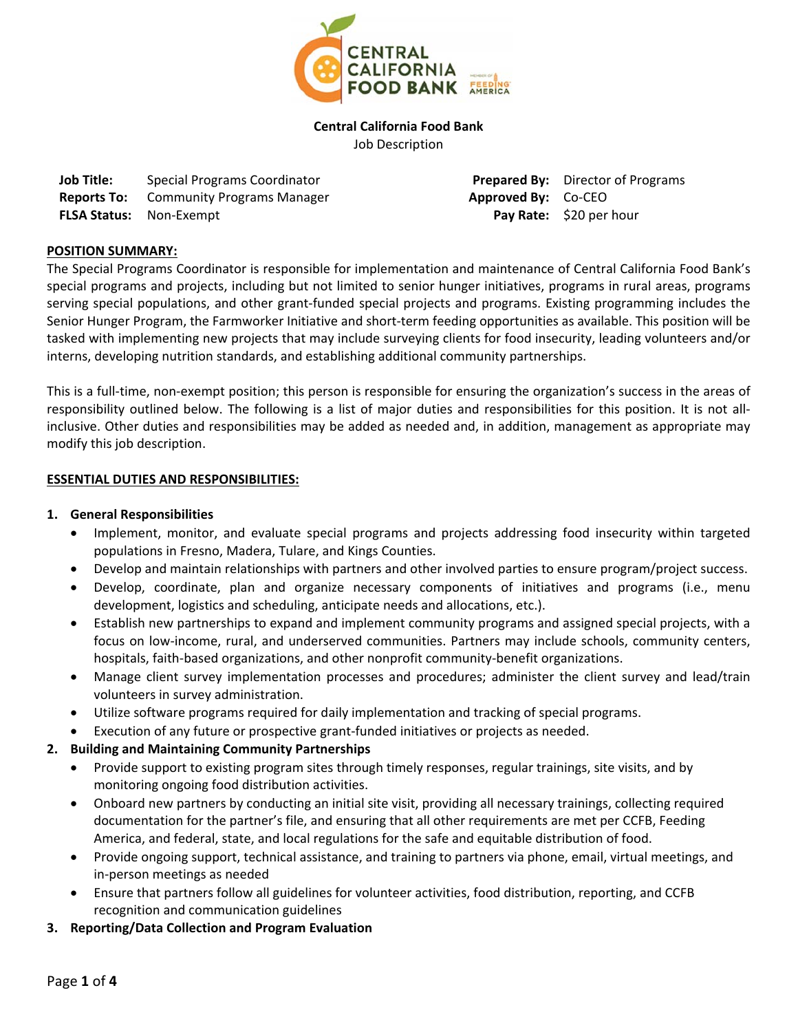

**Central California Food Bank**  Job Description

| <b>Job Title:</b>              | <b>Special Programs Coordinator</b> |
|--------------------------------|-------------------------------------|
| <b>Reports To:</b>             | <b>Community Programs Manager</b>   |
| <b>FLSA Status:</b> Non-Exempt |                                     |

**Prepared By:** Director of Programs **Approved By:** Co-CEO **Pay Rate:** \$20 per hour

## **POSITION SUMMARY:**

The Special Programs Coordinator is responsible for implementation and maintenance of Central California Food Bank's special programs and projects, including but not limited to senior hunger initiatives, programs in rural areas, programs serving special populations, and other grant-funded special projects and programs. Existing programming includes the Senior Hunger Program, the Farmworker Initiative and short-term feeding opportunities as available. This position will be tasked with implementing new projects that may include surveying clients for food insecurity, leading volunteers and/or interns, developing nutrition standards, and establishing additional community partnerships.

This is a full-time, non-exempt position; this person is responsible for ensuring the organization's success in the areas of responsibility outlined below. The following is a list of major duties and responsibilities for this position. It is not allinclusive. Other duties and responsibilities may be added as needed and, in addition, management as appropriate may modify this job description.

## **ESSENTIAL DUTIES AND RESPONSIBILITIES:**

#### **1. General Responsibilities**

- Implement, monitor, and evaluate special programs and projects addressing food insecurity within targeted populations in Fresno, Madera, Tulare, and Kings Counties.
- Develop and maintain relationships with partners and other involved parties to ensure program/project success.
- Develop, coordinate, plan and organize necessary components of initiatives and programs (i.e., menu development, logistics and scheduling, anticipate needs and allocations, etc.).
- Establish new partnerships to expand and implement community programs and assigned special projects, with a focus on low-income, rural, and underserved communities. Partners may include schools, community centers, hospitals, faith‐based organizations, and other nonprofit community‐benefit organizations.
- Manage client survey implementation processes and procedures; administer the client survey and lead/train volunteers in survey administration.
- Utilize software programs required for daily implementation and tracking of special programs.
- Execution of any future or prospective grant‐funded initiatives or projects as needed.

## **2. Building and Maintaining Community Partnerships**

- Provide support to existing program sites through timely responses, regular trainings, site visits, and by monitoring ongoing food distribution activities.
- Onboard new partners by conducting an initial site visit, providing all necessary trainings, collecting required documentation for the partner's file, and ensuring that all other requirements are met per CCFB, Feeding America, and federal, state, and local regulations for the safe and equitable distribution of food.
- Provide ongoing support, technical assistance, and training to partners via phone, email, virtual meetings, and in‐person meetings as needed
- Ensure that partners follow all guidelines for volunteer activities, food distribution, reporting, and CCFB recognition and communication guidelines
- **3. Reporting/Data Collection and Program Evaluation**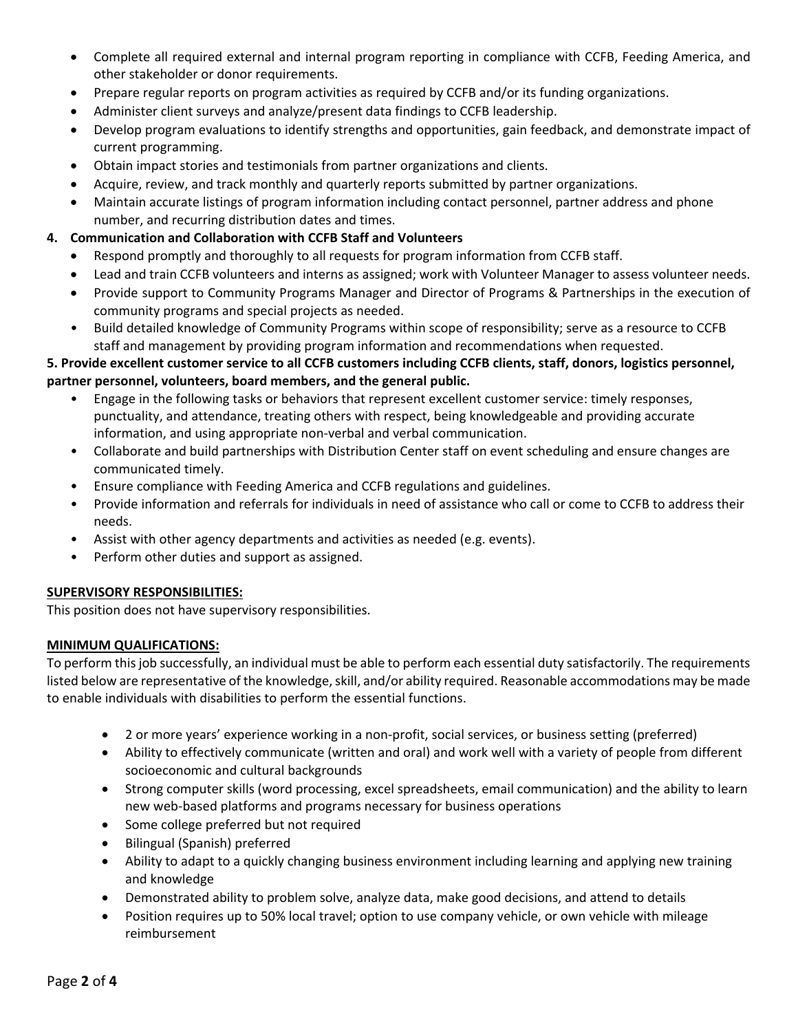- Complete all required external and internal program reporting in compliance with CCFB, Feeding America, and other stakeholder or donor requirements.
- Prepare regular reports on program activities as required by CCFB and/or its funding organizations.
- Administer client surveys and analyze/present data findings to CCFB leadership.
- Develop program evaluations to identify strengths and opportunities, gain feedback, and demonstrate impact of current programming.
- Obtain impact stories and testimonials from partner organizations and clients.
- Acquire, review, and track monthly and quarterly reports submitted by partner organizations.
- Maintain accurate listings of program information including contact personnel, partner address and phone number, and recurring distribution dates and times.

## **4. Communication and Collaboration with CCFB Staff and Volunteers**

- Respond promptly and thoroughly to all requests for program information from CCFB staff.
- Lead and train CCFB volunteers and interns as assigned; work with Volunteer Manager to assess volunteer needs.
- Provide support to Community Programs Manager and Director of Programs & Partnerships in the execution of community programs and special projects as needed.
- Build detailed knowledge of Community Programs within scope of responsibility; serve as a resource to CCFB staff and management by providing program information and recommendations when requested.

# **5. Provide excellent customer service to all CCFB customers including CCFB clients, staff, donors, logistics personnel, partner personnel, volunteers, board members, and the general public.**

- Engage in the following tasks or behaviors that represent excellent customer service: timely responses, punctuality, and attendance, treating others with respect, being knowledgeable and providing accurate information, and using appropriate non‐verbal and verbal communication.
- Collaborate and build partnerships with Distribution Center staff on event scheduling and ensure changes are communicated timely.
- Ensure compliance with Feeding America and CCFB regulations and guidelines.
- Provide information and referrals for individuals in need of assistance who call or come to CCFB to address their needs.
- Assist with other agency departments and activities as needed (e.g. events).
- Perform other duties and support as assigned.

#### **SUPERVISORY RESPONSIBILITIES:**

This position does not have supervisory responsibilities.

## **MINIMUM QUALIFICATIONS:**

To perform this job successfully, an individual must be able to perform each essential duty satisfactorily. The requirements listed below are representative of the knowledge, skill, and/or ability required. Reasonable accommodations may be made to enable individuals with disabilities to perform the essential functions.

- 2 or more years' experience working in a non‐profit, social services, or business setting (preferred)
- Ability to effectively communicate (written and oral) and work well with a variety of people from different socioeconomic and cultural backgrounds
- Strong computer skills (word processing, excel spreadsheets, email communication) and the ability to learn new web‐based platforms and programs necessary for business operations
- Some college preferred but not required
- Bilingual (Spanish) preferred
- Ability to adapt to a quickly changing business environment including learning and applying new training and knowledge
- Demonstrated ability to problem solve, analyze data, make good decisions, and attend to details
- Position requires up to 50% local travel; option to use company vehicle, or own vehicle with mileage reimbursement